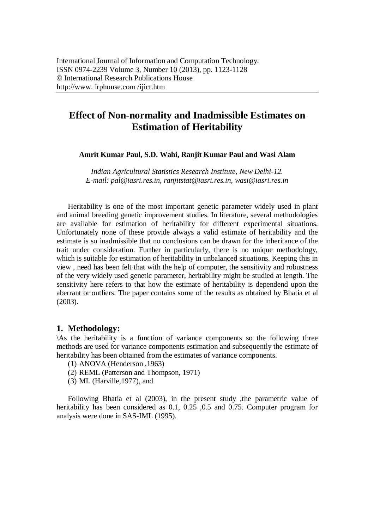# **Effect of Non-normality and Inadmissible Estimates on Estimation of Heritability**

#### **Amrit Kumar Paul, S.D. Wahi, Ranjit Kumar Paul and Wasi Alam**

*Indian Agricultural Statistics Research Institute, New Delhi-12. E-mail: pal@iasri.res.in, ranjitstat@iasri.res.in, wasi@iasri.res.in*

Heritability is one of the most important genetic parameter widely used in plant and animal breeding genetic improvement studies. In literature, several methodologies are available for estimation of heritability for different experimental situations. Unfortunately none of these provide always a valid estimate of heritability and the estimate is so inadmissible that no conclusions can be drawn for the inheritance of the trait under consideration. Further in particularly, there is no unique methodology, which is suitable for estimation of heritability in unbalanced situations. Keeping this in view , need has been felt that with the help of computer, the sensitivity and robustness of the very widely used genetic parameter, heritability might be studied at length. The sensitivity here refers to that how the estimate of heritability is dependend upon the aberrant or outliers. The paper contains some of the results as obtained by Bhatia et al (2003).

#### **1. Methodology:**

\As the heritability is a function of variance components so the following three methods are used for variance components estimation and subsequently the estimate of heritability has been obtained from the estimates of variance components.

- (1) ANOVA (Henderson ,1963)
- (2) REML (Patterson and Thompson, 1971)
- (3) ML (Harville,1977), and

Following Bhatia et al (2003), in the present study ,the parametric value of heritability has been considered as 0.1, 0.25, 0.5 and 0.75. Computer program for analysis were done in SAS-IML (1995).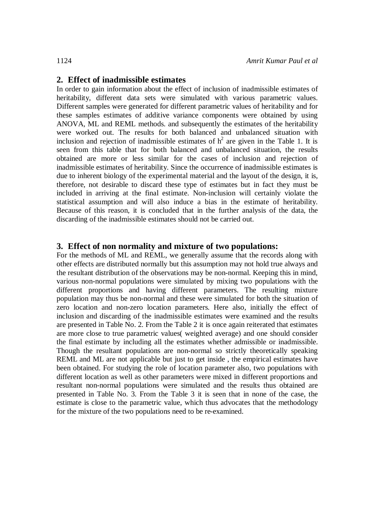### **2. Effect of inadmissible estimates**

In order to gain information about the effect of inclusion of inadmissible estimates of heritability, different data sets were simulated with various parametric values. Different samples were generated for different parametric values of heritability and for these samples estimates of additive variance components were obtained by using ANOVA, ML and REML methods. and subsequently the estimates of the heritability were worked out. The results for both balanced and unbalanced situation with inclusion and rejection of inadmissible estimates of  $h^2$  are given in the Table 1. It is seen from this table that for both balanced and unbalanced situation, the results obtained are more or less similar for the cases of inclusion and rejection of inadmissible estimates of heritability. Since the occurrence of inadmissible estimates is due to inherent biology of the experimental material and the layout of the design, it is, therefore, not desirable to discard these type of estimates but in fact they must be included in arriving at the final estimate. Non-inclusion will certainly violate the statistical assumption and will also induce a bias in the estimate of heritability. Because of this reason, it is concluded that in the further analysis of the data, the discarding of the inadmissible estimates should not be carried out.

#### **3. Effect of non normality and mixture of two populations:**

For the methods of ML and REML, we generally assume that the records along with other effects are distributed normally but this assumption may not hold true always and the resultant distribution of the observations may be non-normal. Keeping this in mind, various non-normal populations were simulated by mixing two populations with the different proportions and having different parameters. The resulting mixture population may thus be non-normal and these were simulated for both the situation of zero location and non-zero location parameters. Here also, initially the effect of inclusion and discarding of the inadmissible estimates were examined and the results are presented in Table No. 2. From the Table 2 it is once again reiterated that estimates are more close to true parametric values( weighted average) and one should consider the final estimate by including all the estimates whether admissible or inadmissible. Though the resultant populations are non-normal so strictly theoretically speaking REML and ML are not applicable but just to get inside , the empirical estimates have been obtained. For studying the role of location parameter also, two populations with different location as well as other parameters were mixed in different proportions and resultant non-normal populations were simulated and the results thus obtained are presented in Table No. 3. From the Table 3 it is seen that in none of the case, the estimate is close to the parametric value, which thus advocates that the methodology for the mixture of the two populations need to be re-examined.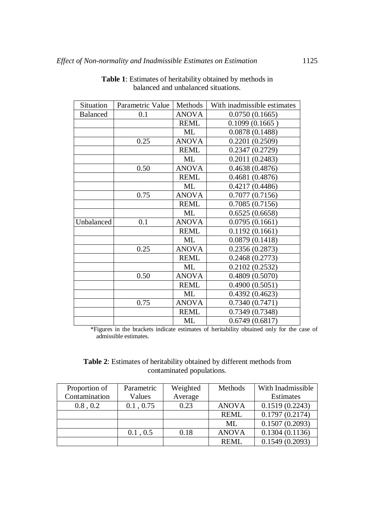| Situation       | Parametric Value | Methods      | With inadmissible estimates |
|-----------------|------------------|--------------|-----------------------------|
| <b>Balanced</b> | 0.1              | <b>ANOVA</b> | 0.0750(0.1665)              |
|                 |                  | <b>REML</b>  | 0.1099(0.1665)              |
|                 |                  | ML           | 0.0878(0.1488)              |
|                 | 0.25             | <b>ANOVA</b> | 0.2201(0.2509)              |
|                 |                  | <b>REML</b>  | 0.2347(0.2729)              |
|                 |                  | ML           | 0.2011(0.2483)              |
|                 | 0.50             | <b>ANOVA</b> | 0.4638(0.4876)              |
|                 |                  | <b>REML</b>  | 0.4681(0.4876)              |
|                 |                  | ML           | 0.4217(0.4486)              |
|                 | 0.75             | <b>ANOVA</b> | 0.7077(0.7156)              |
|                 |                  | <b>REML</b>  | 0.7085(0.7156)              |
|                 |                  | ML           | 0.6525(0.6658)              |
| Unbalanced      | 0.1              | <b>ANOVA</b> | 0.0795(0.1661)              |
|                 |                  | <b>REML</b>  | 0.1192(0.1661)              |
|                 |                  | ML           | 0.0879(0.1418)              |
|                 | 0.25             | <b>ANOVA</b> | 0.2356(0.2873)              |
|                 |                  | <b>REML</b>  | 0.2468(0.2773)              |
|                 |                  | ML           | 0.2102(0.2532)              |
|                 | 0.50             | <b>ANOVA</b> | 0.4809(0.5070)              |
|                 |                  | <b>REML</b>  | 0.4900(0.5051)              |
|                 |                  | ML           | 0.4392(0.4623)              |
|                 | 0.75             | <b>ANOVA</b> | 0.7340(0.7471)              |
|                 |                  | <b>REML</b>  | 0.7349(0.7348)              |
|                 |                  | ML           | 0.6749(0.6817)              |

**Table 1**: Estimates of heritability obtained by methods in balanced and unbalanced situations.

\*Figures in the brackets indicate estimates of heritability obtained only for the case of admissible estimates.

## **Table 2**: Estimates of heritability obtained by different methods from contaminated populations.

| Proportion of | Parametric | Weighted | Methods      | With Inadmissible |
|---------------|------------|----------|--------------|-------------------|
| Contamination | Values     | Average  |              | Estimates         |
| 0.8, 0.2      | 0.1, 0.75  | 0.23     | <b>ANOVA</b> | 0.1519(0.2243)    |
|               |            |          | <b>REML</b>  | 0.1797(0.2174)    |
|               |            |          | ML           | 0.1507(0.2093)    |
|               | 0.1, 0.5   | 0.18     | <b>ANOVA</b> | 0.1304(0.1136)    |
|               |            |          | <b>REML</b>  | 0.1549(0.2093)    |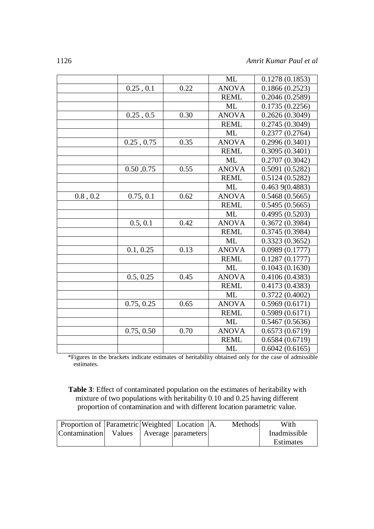|          |            |      | <b>ML</b>    | 0.1278(0.1853) |
|----------|------------|------|--------------|----------------|
|          | 0.25, 0.1  | 0.22 | <b>ANOVA</b> | 0.1866(0.2523) |
|          |            |      | <b>REML</b>  | 0.2046(0.2589) |
|          |            |      | ML           | 0.1735(0.2256) |
|          | 0.25, 0.5  | 0.30 | <b>ANOVA</b> | 0.2626(0.3049) |
|          |            |      | <b>REML</b>  | 0.2745(0.3049) |
|          |            |      | ML           | 0.2377(0.2764) |
|          | 0.25, 0.75 | 0.35 | <b>ANOVA</b> | 0.2996(0.3401) |
|          |            |      | <b>REML</b>  | 0.3095(0.3401) |
|          |            |      | ML           | 0.2707(0.3042) |
|          | 0.50, 0.75 | 0.55 | <b>ANOVA</b> | 0.5091(0.5282) |
|          |            |      | <b>REML</b>  | 0.5124(0.5282) |
|          |            |      | ML           | 0.4639(0.4883) |
| 0.8, 0.2 | 0.75, 0.1  | 0.62 | <b>ANOVA</b> | 0.5468(0.5665) |
|          |            |      | <b>REML</b>  | 0.5495(0.5665) |
|          |            |      | <b>ML</b>    | 0.4995(0.5203) |
|          | 0.5, 0.1   | 0.42 | <b>ANOVA</b> | 0.3672(0.3984) |
|          |            |      | <b>REML</b>  | 0.3745(0.3984) |
|          |            |      | <b>ML</b>    | 0.3323(0.3652) |
|          | 0.1, 0.25  | 0.13 | <b>ANOVA</b> | 0.0989(0.1777) |
|          |            |      | <b>REML</b>  | 0.1287(0.1777) |
|          |            |      | ML           | 0.1043(0.1630) |
|          | 0.5, 0.25  | 0.45 | <b>ANOVA</b> | 0.4106(0.4383) |
|          |            |      | <b>REML</b>  | 0.4173(0.4383) |
|          |            |      | ML           | 0.3722(0.4002) |
|          | 0.75, 0.25 | 0.65 | <b>ANOVA</b> | 0.5969(0.6171) |
|          |            |      | <b>REML</b>  | 0.5989(0.6171) |
|          |            |      | ML           | 0.5467(0.5636) |
|          | 0.75, 0.50 | 0.70 | <b>ANOVA</b> | 0.6573(0.6719) |
|          |            |      | <b>REML</b>  | 0.6584(0.6719) |
|          |            |      | ML           | 0.6042(0.6165) |

\*Figures in the brackets indicate estimates of heritability obtained only for the case of admissible estimates.

**Table 3**: Effect of contaminated population on the estimates of heritability with mixture of two populations with heritability 0.10 and 0.25 having different proportion of contamination and with different location parametric value.

| Proportion of Parametric Weighted Location A. |  |  | Methods | With             |
|-----------------------------------------------|--|--|---------|------------------|
| Contamination   Values   Average   parameters |  |  |         | Inadmissible     |
|                                               |  |  |         | <b>Estimates</b> |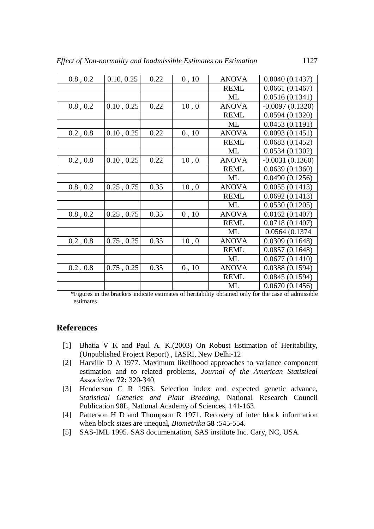| 0.8, 0.2      | 0.10, 0.25 | 0.22 | 0, 10 | <b>ANOVA</b> | 0.0040(0.1437)    |
|---------------|------------|------|-------|--------------|-------------------|
|               |            |      |       | <b>REML</b>  | 0.0661(0.1467)    |
|               |            |      |       | ML           | 0.0516(0.1341)    |
| 0.8, 0.2      | 0.10, 0.25 | 0.22 | 10, 0 | <b>ANOVA</b> | $-0.0097(0.1320)$ |
|               |            |      |       | <b>REML</b>  | 0.0594(0.1320)    |
|               |            |      |       | ML           | 0.0453(0.1191)    |
| 0.2, 0.8      | 0.10, 0.25 | 0.22 | 0, 10 | <b>ANOVA</b> | 0.0093(0.1451)    |
|               |            |      |       | <b>REML</b>  | 0.0683(0.1452)    |
|               |            |      |       | ML           | 0.0534(0.1302)    |
| $0.2$ , $0.8$ | 0.10, 0.25 | 0.22 | 10, 0 | <b>ANOVA</b> | $-0.0031(0.1360)$ |
|               |            |      |       | <b>REML</b>  | 0.0639(0.1360)    |
|               |            |      |       | ML           | 0.0490(0.1256)    |
| 0.8, 0.2      | 0.25, 0.75 | 0.35 | 10, 0 | <b>ANOVA</b> | 0.0055(0.1413)    |
|               |            |      |       | <b>REML</b>  | 0.0692(0.1413)    |
|               |            |      |       | ML           | 0.0530(0.1205)    |
| 0.8, 0.2      | 0.25, 0.75 | 0.35 | 0, 10 | <b>ANOVA</b> | 0.0162(0.1407)    |
|               |            |      |       | <b>REML</b>  | 0.0718(0.1407)    |
|               |            |      |       | ML           | 0.0564 (0.1374    |
| 0.2, 0.8      | 0.75, 0.25 | 0.35 | 10, 0 | <b>ANOVA</b> | 0.0309(0.1648)    |
|               |            |      |       | <b>REML</b>  | 0.0857(0.1648)    |
|               |            |      |       | ML           | 0.0677(0.1410)    |
| 0.2, 0.8      | 0.75, 0.25 | 0.35 | 0, 10 | <b>ANOVA</b> | 0.0388(0.1594)    |
|               |            |      |       | <b>REML</b>  | 0.0845(0.1594)    |
|               |            |      |       | ML           | 0.0670(0.1456)    |

\*Figures in the brackets indicate estimates of heritability obtained only for the case of admissible estimates

#### **References**

- [1] Bhatia V K and Paul A. K.(2003) On Robust Estimation of Heritability, (Unpublished Project Report) , IASRI, New Delhi-12
- [2] Harville D A 1977. Maximum likelihood approaches to variance component estimation and to related problems, *Journal of the American Statistical Association* **72:** 320-340.
- [3] Henderson C R 1963. Selection index and expected genetic advance, *Statistical Genetics and Plant Breeding*, National Research Council Publication 98L, National Academy of Sciences, 141-163.
- [4] Patterson H D and Thompson R 1971. Recovery of inter block information when block sizes are unequal, *Biometrika* **58** :545-554.
- [5] SAS-IML 1995. SAS documentation, SAS institute Inc. Cary, NC, USA.